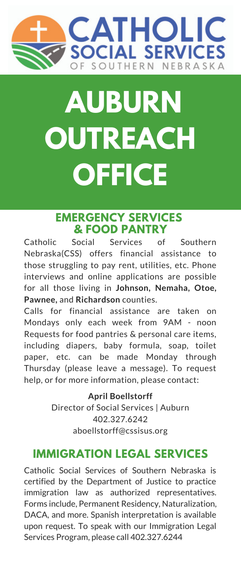

# **IMPERIAL REGION OUTREACH AUBURN OUTREACH OFFICE**

#### **EMERGENCY SERVICES & FOOD PANTRY**

Catholic Social Services of Southern Nebraska(CSS) offers financial assistance to those struggling to pay rent, utilities, etc. Phone interviews and online applications are possible for all those living in **Johnson, Nemaha, Otoe, Pawnee,** and **Richardson** counties.

Calls for financial assistance are taken on Mondays only each week from 9AM - noon Requests for food pantries & personal care items, including diapers, baby formula, soap, toilet paper, etc. can be made Monday through Thursday (please leave a message). To request help, or for more information, please contact:

> **April Boellstorff** Director of Social Services | Auburn 402.327.6242 aboellstorff@cssisus.org

### **IMMIGRATION LEGAL SERVICES**

Catholic Social Services of Southern Nebraska is certified by the Department of Justice to practice immigration law as authorized representatives. Forms include, Permanent Residency, Naturalization, DACA, and more. Spanish interpretation is available upon request. To speak with our Immigration Legal Services Program, please call 402.327.6244